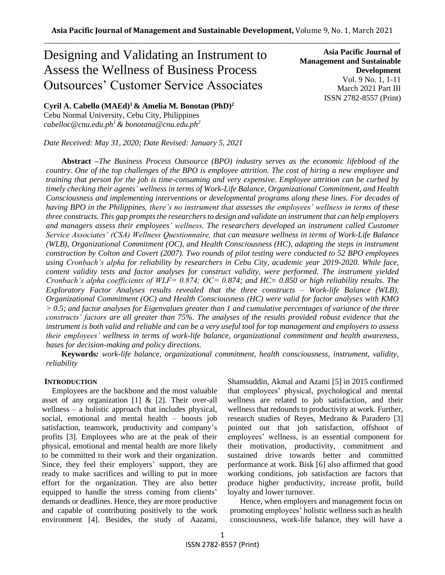# Designing and Validating an Instrument to Assess the Wellness of Business Process Outsources' Customer Service Associates

**Asia Pacific Journal of Management and Sustainable Development**  Vol. 9 No. 1, 1-11 March 2021 Part III ISSN 2782-8557 (Print)

**Cyril A. Cabello (MAEd)<sup>1</sup>& Amelia M. Bonotan (PhD)<sup>2</sup>** Cebu Normal University, Cebu City, Philippines

*[cabelloc@cnu.edu.ph](mailto:cabelloc@cnu.edu.ph1)<sup>1</sup>& bonotana@cnu.edu.ph<sup>2</sup>*

*Date Received: May 31, 2020; Date Revised: January 5, 2021*

**Abstract** *–The Business Process Outsource (BPO) industry serves as the economic lifeblood of the country. One of the top challenges of the BPO is employee attrition. The cost of hiring a new employee and training that person for the job is time-consuming and very expensive. Employee attrition can be curbed by timely checking their agents' wellness in terms of Work-Life Balance, Organizational Commitment, and Health Consciousness and implementing interventions or developmental programs along these lines. For decades of having BPO in the Philippines, there's no instrument that assesses the employees' wellness in terms of these three constructs. This gap prompts the researchers to design and validate an instrument that can help employers and managers assess their employees' wellness. The researchers developed an instrument called Customer Service Associates' (CSA) Wellness Questionnaire, that can measure wellness in terms of Work-Life Balance (WLB), Organizational Commitment (OC), and Health Consciousness (HC), adapting the steps in instrument construction by Colton and Covert (2007). Two rounds of pilot testing were conducted to 52 BPO employees using Cronbach's alpha for reliability by researchers in Cebu City, academic year 2019-2020. While face, content validity tests and factor analyses for construct validity, were performed. The instrument yielded Cronbach's alpha coefficients of WLF= 0.874; OC= 0.874; and HC= 0.850 or high reliability results. The Exploratory Factor Analyses results revealed that the three constructs – Work-life Balance (WLB), Organizational Commitment (OC) and Health Consciousness (HC) were valid for factor analyses with KMO > 0.5; and factor analyses for Eigenvalues greater than 1 and cumulative percentages of variance of the three constructs' factors are all greater than 75%. The analyses of the results provided robust evidence that the instrument is both valid and reliable and can be a very useful tool for top management and employers to assess their employees' wellness in terms of work-life balance, organizational commitment and health awareness, bases for decision-making and policy directions.*

**Keywords***: work-life balance, organizational commitment, health consciousness, instrument, validity, reliability*

# **INTRODUCTION**

 Employees are the backbone and the most valuable asset of any organization [1] & [2]. Their over-all wellness – a holistic approach that includes physical, social, emotional and mental health – boosts job satisfaction, teamwork, productivity and company's profits [3]. Employees who are at the peak of their physical, emotional and mental health are more likely to be committed to their work and their organization. Since, they feel their employers' support, they are ready to make sacrifices and willing to put in more effort for the organization. They are also better equipped to handle the stress coming from clients' demands or deadlines. Hence, they are more productive and capable of contributing positively to the work environment [4]. Besides, the study of Aazami, Shamsuddin, Akmal and Azami [5] in 2015 confirmed that employees' physical, psychological and mental wellness are related to job satisfaction, and their wellness that redounds to productivity at work. Further, research studies of Reyes, Medrano & Paradero [3] pointed out that job satisfaction, offshoot of employees' wellness, is an essential component for their motivation, productivity, commitment and sustained drive towards better and committed performance at work. Bisk [6] also affirmed that good working conditions, job satisfaction are factors that produce higher productivity, increase profit, build loyalty and lower turnover.

 Hence, when employers and management focus on promoting employees' holistic wellness such as health consciousness, work-life balance, they will have a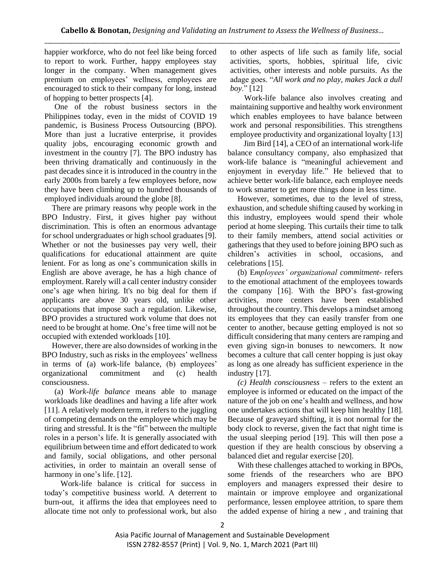happier workforce, who do not feel like being forced to report to work. Further, happy employees stay longer in the company. When management gives premium on employees' wellness, employees are encouraged to stick to their company for long, instead of hopping to better prospects [4].

 One of the robust business sectors in the Philippines today, even in the midst of COVID 19 pandemic, is Business Process Outsourcing (BPO). More than just a lucrative enterprise, it provides quality jobs, encouraging economic growth and investment in the country [7]. The BPO industry has been thriving dramatically and continuously in the past decades since it is introduced in the country in the early 2000s from barely a few employees before, now they have been climbing up to hundred thousands of employed individuals around the globe [8].

 There are primary reasons why people work in the BPO Industry. First, it gives higher pay without discrimination. This is often an enormous advantage for school undergraduates or high school graduates [9]. Whether or not the businesses pay very well, their qualifications for educational attainment are quite lenient. For as long as one's communication skills in English are above average, he has a high chance of employment. Rarely will a call center industry consider one's age when hiring. It's no big deal for them if applicants are above 30 years old, unlike other occupations that impose such a regulation. Likewise, BPO provides a structured work volume that does not need to be brought at home. One's free time will not be occupied with extended workloads [10].

 However, there are also downsides of working in the BPO Industry, such as risks in the employees' wellness in terms of (a) work-life balance, (b) employees' organizational commitment and (c) health consciousness.

 (a) *Work-life balance* means able to manage workloads like deadlines and having a life after work [11]. A relatively modern term, it refers to the juggling of competing demands on the employee which may be tiring and stressful. It is the "fit" between the multiple roles in a person's life. It is generally associated with equilibrium between time and effort dedicated to work and family, social obligations, and other personal activities, in order to maintain an overall sense of harmony in one's life. [12].

 Work-life balance is critical for success in today's competitive business world. A deterrent to burn-out, it affirms the idea that employees need to allocate time not only to professional work, but also

to other aspects of life such as family life, social activities, sports, hobbies, spiritual life, civic activities, other interests and noble pursuits. As the adage goes. "*All work and no play, makes Jack a dull boy*." [12]

 Work-life balance also involves creating and maintaining supportive and healthy work environment which enables employees to have balance between work and personal responsibilities. This strengthens employee productivity and organizational loyalty [13]

 Jim Bird [14], a CEO of an international work-life balance consultancy company, also emphasized that work-life balance is "meaningful achievement and enjoyment in everyday life." He believed that to achieve better work-life balance, each employee needs to work smarter to get more things done in less time.

 However, sometimes, due to the level of stress, exhaustion, and schedule shifting caused by working in this industry, employees would spend their whole period at home sleeping. This curtails their time to talk to their family members, attend social activities or gatherings that they used to before joining BPO such as children's activities in school, occasions, and celebrations [15].

 (b) E*mployees' organizational commitment-* refers to the emotional attachment of the employees towards the company [16]. With the BPO's fast-growing activities, more centers have been established throughout the country. This develops a mindset among its employees that they can easily transfer from one center to another, because getting employed is not so difficult considering that many centers are ramping and even giving sign-in bonuses to newcomers. It now becomes a culture that call center hopping is just okay as long as one already has sufficient experience in the industry [17].

 *(c) Health consciousness* – refers to the extent an employee is informed or educated on the impact of the nature of the job on one's health and wellness, and how one undertakes actions that will keep him healthy [18]. Because of graveyard shifting, it is not normal for the body clock to reverse, given the fact that night time is the usual sleeping period [19]. This will then pose a question if they are health conscious by observing a balanced diet and regular exercise [20].

 With these challenges attached to working in BPOs, some friends of the researchers who are BPO employers and managers expressed their desire to maintain or improve employee and organizational performance, lessen employee attrition, to spare them the added expense of hiring a new , and training that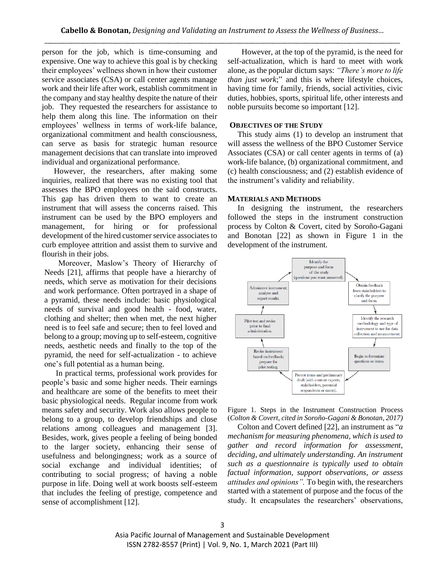person for the job, which is time-consuming and expensive. One way to achieve this goal is by checking their employees' wellness shown in how their customer service associates (CSA) or call center agents manage work and their life after work, establish commitment in the company and stay healthy despite the nature of their job. They requested the researchers for assistance to help them along this line. The information on their employees' wellness in terms of work-life balance, organizational commitment and health consciousness, can serve as basis for strategic human resource management decisions that can translate into improved individual and organizational performance.

 However, the researchers, after making some inquiries, realized that there was no existing tool that assesses the BPO employees on the said constructs. This gap has driven them to want to create an instrument that will assess the concerns raised. This instrument can be used by the BPO employers and management, for hiring or for professional development of the hired customer service associates to curb employee attrition and assist them to survive and flourish in their jobs.

 Moreover, Maslow's Theory of Hierarchy of Needs [21], affirms that people have a hierarchy of needs, which serve as motivation for their decisions and work performance. Often portrayed in a shape of a pyramid, these needs include: basic physiological needs of survival and good health - food, water, clothing and shelter; then when met, the next higher need is to feel safe and secure; then to feel loved and belong to a group; moving up to self-esteem, cognitive needs, aesthetic needs and finally to the top of the pyramid, the need for self-actualization - to achieve one's full potential as a human being.

 In practical terms, professional work provides for people's basic and some higher needs. Their earnings and healthcare are some of the benefits to meet their basic physiological needs. Regular income from work means safety and security. Work also allows people to belong to a group, to develop friendships and close relations among colleagues and management [3]. Besides, work, gives people a feeling of being bonded to the larger society, enhancing their sense of usefulness and belongingness; work as a source of social exchange and individual identities; of contributing to social progress; of having a noble purpose in life. Doing well at work boosts self-esteem that includes the feeling of prestige, competence and sense of accomplishment [12].

 However, at the top of the pyramid, is the need for self-actualization, which is hard to meet with work alone, as the popular dictum says: *"There's more to life than just work*;" and this is where lifestyle choices, having time for family, friends, social activities, civic duties, hobbies, sports, spiritual life, other interests and noble pursuits become so important [12].

## **OBJECTIVES OF THE STUDY**

 This study aims (1) to develop an instrument that will assess the wellness of the BPO Customer Service Associates (CSA) or call center agents in terms of (a) work-life balance, (b) organizational commitment, and (c) health consciousness; and (2) establish evidence of the instrument's validity and reliability.

### **MATERIALS AND METHODS**

In designing the instrument, the researchers followed the steps in the instrument construction process by Colton & Covert, cited by Soroño-Gagani and Bonotan [22] as shown in Figure 1 in the development of the instrument.



Figure 1. Steps in the Instrument Construction Process (*Colton & Covert, cited in Soroño-Gagani & Bonotan, 2017)*

 Colton and Covert defined [22], an instrument as "*a mechanism for measuring phenomena, which is used to gather and record information for assessment, deciding, and ultimately understanding. An instrument such as a questionnaire is typically used to obtain factual information, support observations, or assess attitudes and opinions".* To begin with, the researchers started with a statement of purpose and the focus of the study. It encapsulates the researchers' observations,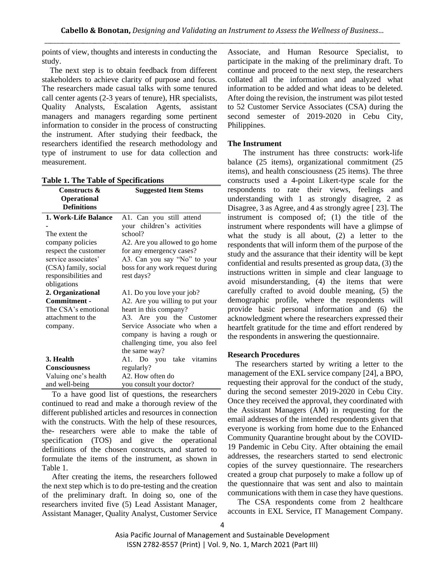points of view, thoughts and interests in conducting the study.

 The next step is to obtain feedback from different stakeholders to achieve clarity of purpose and focus. The researchers made casual talks with some tenured call center agents (2-3 years of tenure), HR specialists, Quality Analysts, Escalation Agents, assistant managers and managers regarding some pertinent information to consider in the process of constructing the instrument. After studying their feedback, the researchers identified the research methodology and type of instrument to use for data collection and measurement.

**Table 1. The Table of Specifications**

| <b>Table 1. The Table of Specifications</b> |                                  |
|---------------------------------------------|----------------------------------|
| Constructs &                                | <b>Suggested Item Stems</b>      |
| <b>Operational</b>                          |                                  |
| <b>Definitions</b>                          |                                  |
| 1. Work-Life Balance                        | A1. Can you still attend         |
|                                             | your children's activities       |
| The extent the                              | school?                          |
| company policies                            | A2. Are you allowed to go home   |
| respect the customer                        | for any emergency cases?         |
| service associates'                         | A3. Can you say "No" to your     |
| (CSA) family, social                        | boss for any work request during |
| responsibilities and                        | rest days?                       |
| obligations                                 |                                  |
| 2. Organizational                           | A1. Do you love your job?        |
| Commitment -                                | A2. Are you willing to put your  |
| The CSA's emotional                         | heart in this company?           |
| attachment to the                           | A3. Are you the Customer         |
| company.                                    | Service Associate who when a     |
|                                             | company is having a rough or     |
|                                             | challenging time, you also feel  |
|                                             | the same way?                    |
| 3. Health                                   | A1. Do you take vitamins         |
| Consciousness                               | regularly?                       |
| Valuing one's health                        | A2. How often do                 |
| and well-being                              | you consult your doctor?         |

 To a have good list of questions, the researchers continued to read and make a thorough review of the different published articles and resources in connection with the constructs. With the help of these resources, the- researchers were able to make the table of specification (TOS) and give the operational definitions of the chosen constructs, and started to formulate the items of the instrument, as shown in Table 1.

 After creating the items, the researchers followed the next step which is to do pre-testing and the creation of the preliminary draft. In doing so, one of the researchers invited five (5) Lead Assistant Manager, Assistant Manager, Quality Analyst, Customer Service

Associate, and Human Resource Specialist, to participate in the making of the preliminary draft. To continue and proceed to the next step, the researchers collated all the information and analyzed what information to be added and what ideas to be deleted. After doing the revision, the instrument was pilot tested to 52 Customer Service Associates (CSA) during the second semester of 2019-2020 in Cebu City, Philippines.

# **The Instrument**

The instrument has three constructs: work-life balance (25 items), organizational commitment (25 items), and health consciousness (25 items). The three constructs used a 4-point Likert-type scale for the respondents to rate their views, feelings and understanding with 1 as strongly disagree, 2 as Disagree, 3 as Agree, and 4 as strongly agree [ 23]. The instrument is composed of; (1) the title of the instrument where respondents will have a glimpse of what the study is all about, (2) a letter to the respondents that will inform them of the purpose of the study and the assurance that their identity will be kept confidential and results presented as group data, (3) the instructions written in simple and clear language to avoid misunderstanding, (4) the items that were carefully crafted to avoid double meaning, (5) the demographic profile, where the respondents will provide basic personal information and (6) the acknowledgment where the researchers expressed their heartfelt gratitude for the time and effort rendered by the respondents in answering the questionnaire.

# **Research Procedures**

 The researchers started by writing a letter to the management of the EXL service company [24], a BPO, requesting their approval for the conduct of the study, during the second semester 2019-2020 in Cebu City. Once they received the approval, they coordinated with the Assistant Managers (AM) in requesting for the email addresses of the intended respondents given that everyone is working from home due to the Enhanced Community Quarantine brought about by the COVID-19 Pandemic in Cebu City. After obtaining the email addresses, the researchers started to send electronic copies of the survey questionnaire. The researchers created a group chat purposely to make a follow up of the questionnaire that was sent and also to maintain communications with them in case they have questions.

 The CSA respondents come from 2 healthcare accounts in EXL Service, IT Management Company.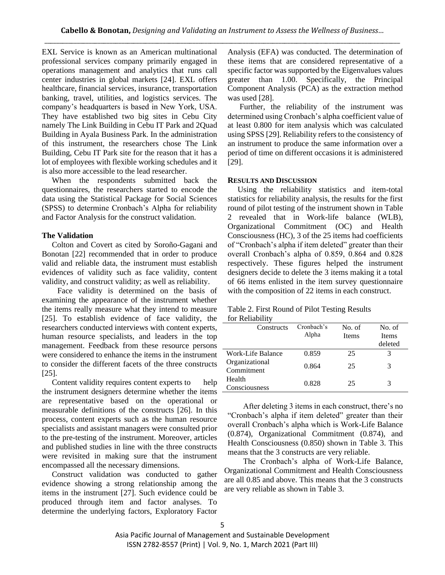EXL Service is known as an American multinational professional services company primarily engaged in operations management and analytics that runs call center industries in global markets [24]. EXL offers healthcare, financial services, insurance, transportation banking, travel, utilities, and logistics services. The company's headquarters is based in New York, USA. They have established two big sites in Cebu City namely The Link Building in Cebu IT Park and 2Quad Building in Ayala Business Park. In the administration of this instrument, the researchers chose The Link Building, Cebu IT Park site for the reason that it has a lot of employees with flexible working schedules and it is also more accessible to the lead researcher.

 When the respondents submitted back the questionnaires, the researchers started to encode the data using the Statistical Package for Social Sciences (SPSS) to determine Cronbach's Alpha for reliability and Factor Analysis for the construct validation.

## **The Validation**

 Colton and Covert as cited by Soroño-Gagani and Bonotan [22] recommended that in order to produce valid and reliable data, the instrument must establish evidences of validity such as face validity, content validity, and construct validity; as well as reliability.

Face validity is determined on the basis of examining the appearance of the instrument whether the items really measure what they intend to measure [25]. To establish evidence of face validity, the researchers conducted interviews with content experts, human resource specialists, and leaders in the top management. Feedback from these resource persons were considered to enhance the items in the instrument to consider the different facets of the three constructs [25].

 Content validity requires content experts to help the instrument designers determine whether the items are representative based on the operational or measurable definitions of the constructs [26]. In this process, content experts such as the human resource specialists and assistant managers were consulted prior to the pre-testing of the instrument. Moreover, articles and published studies in line with the three constructs were revisited in making sure that the instrument encompassed all the necessary dimensions.

 Construct validation was conducted to gather evidence showing a strong relationship among the items in the instrument [27]. Such evidence could be produced through item and factor analyses. To determine the underlying factors, Exploratory Factor Analysis (EFA) was conducted. The determination of these items that are considered representative of a specific factor was supported by the Eigenvalues values greater than 1.00. Specifically, the Principal Component Analysis (PCA) as the extraction method was used [28].

 Further, the reliability of the instrument was determined using Cronbach's alpha coefficient value of at least 0.800 for item analysis which was calculated using SPSS [29]. Reliability refers to the consistency of an instrument to produce the same information over a period of time on different occasions it is administered [29].

## **RESULTS AND DISCUSSION**

 Using the reliability statistics and item-total statistics for reliability analysis, the results for the first round of pilot testing of the instrument shown in Table 2 revealed that in Work-life balance (WLB), Organizational Commitment (OC) and Health Consciousness (HC), 3 of the 25 items had coefficients of "Cronbach's alpha if item deleted" greater than their overall Cronbach's alpha of 0.859, 0.864 and 0.828 respectively. These figures helped the instrument designers decide to delete the 3 items making it a total of 66 items enlisted in the item survey questionnaire with the composition of 22 items in each construct.

## Table 2. First Round of Pilot Testing Results for Reliability

| Constructs                   | Cronbach's<br>Alpha | No. of<br>Items | No. of<br>Items |
|------------------------------|---------------------|-----------------|-----------------|
|                              |                     |                 | deleted         |
| Work-Life Balance            | 0.859               | 25              |                 |
| Organizational<br>Commitment | 0.864               | 25              | 3               |
| Health                       | 0.828               | 25              | 3               |
| Consciousness                |                     |                 |                 |

After deleting 3 items in each construct, there's no "Cronbach's alpha if item deleted" greater than their overall Cronbach's alpha which is Work-Life Balance (0.874), Organizational Commitment (0.874), and Health Consciousness (0.850) shown in Table 3. This means that the 3 constructs are very reliable.

The Cronbach's alpha of Work-Life Balance, Organizational Commitment and Health Consciousness are all 0.85 and above. This means that the 3 constructs are very reliable as shown in Table 3.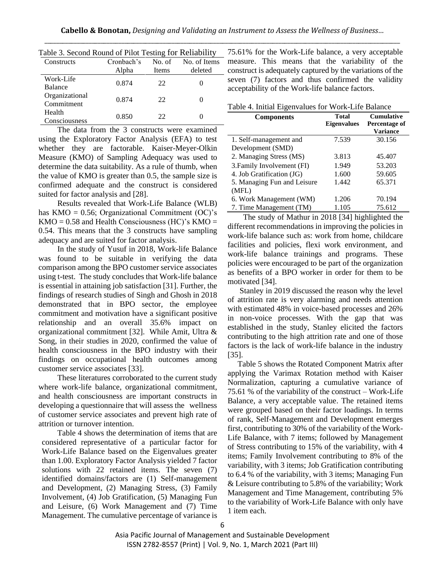| Lavie 5. Second Kound of Fifter Festing for Kenability |            |        |              |
|--------------------------------------------------------|------------|--------|--------------|
| Constructs                                             | Cronbach's | No. of | No. of Items |
|                                                        | Alpha      | Items  | deleted      |
| Work-Life                                              | 0.874      | 22     |              |
| Balance                                                |            |        |              |
| Organizational                                         | 0.874      | 22     |              |
| Commitment                                             |            |        |              |
| Health                                                 | 0.850      | 22     |              |
| Consciousness                                          |            |        |              |

Table 3. Second Round of Pilot Testing for Reliability

The data from the 3 constructs were examined using the Exploratory Factor Analysis (EFA) to test whether they are factorable. Kaiser-Meyer-Olkin Measure (KMO) of Sampling Adequacy was used to determine the data suitability. As a rule of thumb, when the value of KMO is greater than 0.5, the sample size is confirmed adequate and the construct is considered suited for factor analysis and [28].

Results revealed that Work-Life Balance (WLB) has  $KMO = 0.56$ ; Organizational Commitment (OC)'s  $KMO = 0.58$  and Health Consciousness (HC)'s  $KMO =$ 0.54. This means that the 3 constructs have sampling adequacy and are suited for factor analysis.

In the study of Yusuf in 2018, Work-life Balance was found to be suitable in verifying the data comparison among the BPO customer service associates using t-test. The study concludes that Work-life balance is essential in attaining job satisfaction [31]. Further, the findings of research studies of Singh and Ghosh in 2018 demonstrated that in BPO sector, the employee commitment and motivation have a significant positive relationship and an overall 35.6% impact on organizational commitment [32]. While Amit, Ultra & Song, in their studies in 2020, confirmed the value of health consciousness in the BPO industry with their findings on occupational health outcomes among customer service associates [33].

These literatures corroborated to the current study where work-life balance, organizational commitment, and health consciousness are important constructs in developing a questionnaire that will assess the wellness of customer service associates and prevent high rate of attrition or turnover intention.

Table 4 shows the determination of items that are considered representative of a particular factor for Work-Life Balance based on the Eigenvalues greater than 1.00. Exploratory Factor Analysis yielded 7 factor solutions with 22 retained items. The seven (7) identified domains/factors are (1) Self-management and Development, (2) Managing Stress, (3) Family Involvement, (4) Job Gratification, (5) Managing Fun and Leisure, (6) Work Management and (7) Time Management. The cumulative percentage of variance is

75.61% for the Work-Life balance, a very acceptable measure. This means that the variability of the construct is adequately captured by the variations of the seven (7) factors and thus confirmed the validity acceptability of the Work-life balance factors.

| Table 4. Initial Eigenvalues for Work-Life Balance |  |  |
|----------------------------------------------------|--|--|
|----------------------------------------------------|--|--|

| <b>Components</b>           | <b>Total</b><br><b>Eigenvalues</b> | <b>Cumulative</b><br>Percentage of |
|-----------------------------|------------------------------------|------------------------------------|
|                             |                                    | Variance                           |
| 1. Self-management and      | 7.539                              | 30.156                             |
| Development (SMD)           |                                    |                                    |
| 2. Managing Stress (MS)     | 3.813                              | 45.407                             |
| 3. Family Involvement (FI)  | 1.949                              | 53.203                             |
| 4. Job Gratification (JG)   | 1.600                              | 59.605                             |
| 5. Managing Fun and Leisure | 1.442                              | 65.371                             |
| (MFL)                       |                                    |                                    |
| 6. Work Management (WM)     | 1.206                              | 70.194                             |
| 7. Time Management (TM)     | 1.105                              | 75.612                             |

The study of Mathur in 2018 [34] highlighted the different recommendations in improving the policies in work-life balance such as: work from home, childcare facilities and policies, flexi work environment, and work-life balance trainings and programs. These policies were encouraged to be part of the organization as benefits of a BPO worker in order for them to be motivated [34].

 Stanley in 2019 discussed the reason why the level of attrition rate is very alarming and needs attention with estimated 48% in voice-based processes and 26% in non-voice processes. With the gap that was established in the study, Stanley elicited the factors contributing to the high attrition rate and one of those factors is the lack of work-life balance in the industry [35].

 Table 5 shows the Rotated Component Matrix after applying the Varimax Rotation method with Kaiser Normalization, capturing a cumulative variance of 75.61 % of the variability of the construct – Work-Life Balance, a very acceptable value. The retained items were grouped based on their factor loadings. In terms of rank, Self-Management and Development emerges first, contributing to 30% of the variability of the Work-Life Balance, with 7 items; followed by Management of Stress contributing to 15% of the variability, with 4 items; Family Involvement contributing to 8% of the variability, with 3 items; Job Gratification contributing to 6.4 % of the variability, with 3 items; Managing Fun & Leisure contributing to 5.8% of the variability; Work Management and Time Management, contributing 5% to the variability of Work-Life Balance with only have 1 item each.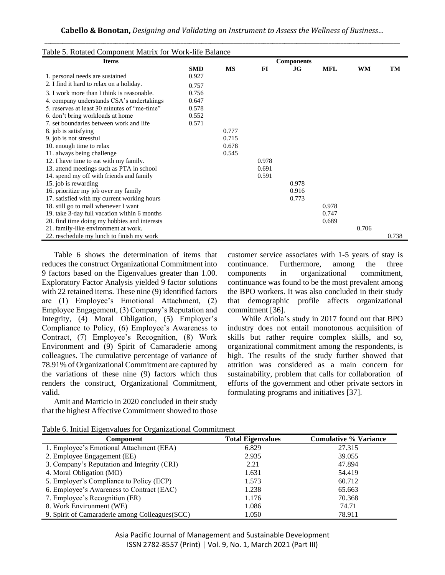| Table 5. Rotated Component Matrix for Work-life Balance<br><b>Items</b> |            |           |       | <b>Components</b> |            |           |       |
|-------------------------------------------------------------------------|------------|-----------|-------|-------------------|------------|-----------|-------|
|                                                                         | <b>SMD</b> | <b>MS</b> | FI    | JG                | <b>MFL</b> | <b>WM</b> | TM    |
| 1. personal needs are sustained                                         | 0.927      |           |       |                   |            |           |       |
| 2. I find it hard to relax on a holiday.                                | 0.757      |           |       |                   |            |           |       |
| 3. I work more than I think is reasonable.                              | 0.756      |           |       |                   |            |           |       |
| 4. company understands CSA's undertakings                               | 0.647      |           |       |                   |            |           |       |
| 5. reserves at least 30 minutes of "me-time"                            | 0.578      |           |       |                   |            |           |       |
| 6. don't bring workloads at home                                        | 0.552      |           |       |                   |            |           |       |
| 7. set boundaries between work and life                                 | 0.571      |           |       |                   |            |           |       |
| 8. job is satisfying                                                    |            | 0.777     |       |                   |            |           |       |
| 9. job is not stressful                                                 |            | 0.715     |       |                   |            |           |       |
| 10. enough time to relax                                                |            | 0.678     |       |                   |            |           |       |
| 11. always being challenge                                              |            | 0.545     |       |                   |            |           |       |
| 12. I have time to eat with my family.                                  |            |           | 0.978 |                   |            |           |       |
| 13. attend meetings such as PTA in school                               |            |           | 0.691 |                   |            |           |       |
| 14. spend my off with friends and family                                |            |           | 0.591 |                   |            |           |       |
| 15. job is rewarding                                                    |            |           |       | 0.978             |            |           |       |
| 16. prioritize my job over my family                                    |            |           |       | 0.916             |            |           |       |
| 17. satisfied with my current working hours                             |            |           |       | 0.773             |            |           |       |
| 18. still go to mall whenever I want                                    |            |           |       |                   | 0.978      |           |       |
| 19. take 3-day full vacation within 6 months                            |            |           |       |                   | 0.747      |           |       |
| 20. find time doing my hobbies and interests                            |            |           |       |                   | 0.689      |           |       |
| 21. family-like environment at work.                                    |            |           |       |                   |            | 0.706     |       |
| 22. reschedule my lunch to finish my work                               |            |           |       |                   |            |           | 0.738 |

 Table 6 shows the determination of items that reduces the construct Organizational Commitment into 9 factors based on the Eigenvalues greater than 1.00. Exploratory Factor Analysis yielded 9 factor solutions with 22 retained items. These nine (9) identified factors are (1) Employee's Emotional Attachment, (2) Employee Engagement, (3) Company's Reputation and Integrity, (4) Moral Obligation, (5) Employer's Compliance to Policy, (6) Employee's Awareness to Contract, (7) Employee's Recognition, (8) Work Environment and (9) Spirit of Camaraderie among colleagues. The cumulative percentage of variance of 78.91% of Organizational Commitment are captured by the variations of these nine (9) factors which thus renders the construct, Organizational Commitment, valid.

 Amit and Marticio in 2020 concluded in their study that the highest Affective Commitment showed to those customer service associates with 1-5 years of stay is continuance. Furthermore, among the three components in organizational commitment, continuance was found to be the most prevalent among the BPO workers. It was also concluded in their study that demographic profile affects organizational commitment [36].

 While Ariola's study in 2017 found out that BPO industry does not entail monotonous acquisition of skills but rather require complex skills, and so, organizational commitment among the respondents, is high. The results of the study further showed that attrition was considered as a main concern for sustainability, problem that calls for collaboration of efforts of the government and other private sectors in formulating programs and initiatives [37].

| Component                                       | <b>Total Eigenvalues</b> | <b>Cumulative % Variance</b> |
|-------------------------------------------------|--------------------------|------------------------------|
| 1. Employee's Emotional Attachment (EEA)        | 6.829                    | 27.315                       |
| 2. Employee Engagement (EE)                     | 2.935                    | 39.055                       |
| 3. Company's Reputation and Integrity (CRI)     | 2.21                     | 47.894                       |
| 4. Moral Obligation (MO)                        | 1.631                    | 54.419                       |
| 5. Employer's Compliance to Policy (ECP)        | 1.573                    | 60.712                       |
| 6. Employee's Awareness to Contract (EAC)       | 1.238                    | 65.663                       |
| 7. Employee's Recognition (ER)                  | 1.176                    | 70.368                       |
| 8. Work Environment (WE)                        | 1.086                    | 74.71                        |
| 9. Spirit of Camaraderie among Colleagues (SCC) | 1.050                    | 78.911                       |

Table 6. Initial Eigenvalues for Organizational Commitment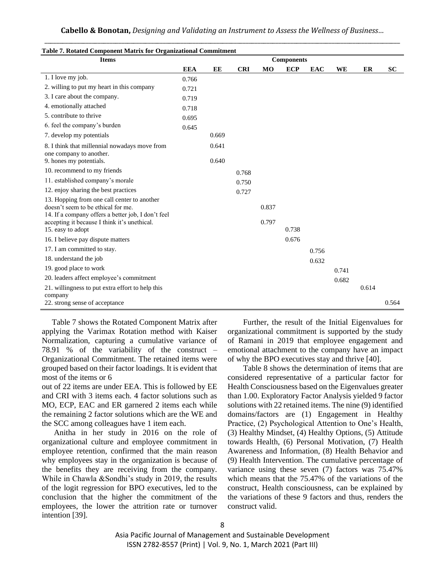| Table 7. Rotated Component Matrix for Organizational Commitment                   |            |       |            |                |                   |            |       |       |           |
|-----------------------------------------------------------------------------------|------------|-------|------------|----------------|-------------------|------------|-------|-------|-----------|
| <b>Items</b>                                                                      |            |       |            |                | <b>Components</b> |            |       |       |           |
|                                                                                   | <b>EEA</b> | EE    | <b>CRI</b> | M <sub>O</sub> | <b>ECP</b>        | <b>EAC</b> | WE    | ER    | <b>SC</b> |
| 1. I love my job.                                                                 | 0.766      |       |            |                |                   |            |       |       |           |
| 2. willing to put my heart in this company                                        | 0.721      |       |            |                |                   |            |       |       |           |
| 3. I care about the company.                                                      | 0.719      |       |            |                |                   |            |       |       |           |
| 4. emotionally attached                                                           | 0.718      |       |            |                |                   |            |       |       |           |
| 5. contribute to thrive                                                           | 0.695      |       |            |                |                   |            |       |       |           |
| 6. feel the company's burden                                                      | 0.645      |       |            |                |                   |            |       |       |           |
| 7. develop my potentials                                                          |            | 0.669 |            |                |                   |            |       |       |           |
| 8. I think that millennial nowadays move from<br>one company to another.          |            | 0.641 |            |                |                   |            |       |       |           |
| 9. hones my potentials.                                                           |            | 0.640 |            |                |                   |            |       |       |           |
| 10. recommend to my friends                                                       |            |       | 0.768      |                |                   |            |       |       |           |
| 11. established company's morale                                                  |            |       | 0.750      |                |                   |            |       |       |           |
| 12. enjoy sharing the best practices                                              |            |       | 0.727      |                |                   |            |       |       |           |
| 13. Hopping from one call center to another<br>doesn't seem to be ethical for me. |            |       |            | 0.837          |                   |            |       |       |           |
| 14. If a company offers a better job, I don't feel                                |            |       |            |                |                   |            |       |       |           |
| accepting it because I think it's unethical.                                      |            |       |            | 0.797          |                   |            |       |       |           |
| 15. easy to adopt                                                                 |            |       |            |                | 0.738             |            |       |       |           |
| 16. I believe pay dispute matters                                                 |            |       |            |                | 0.676             |            |       |       |           |
| 17. I am committed to stay.                                                       |            |       |            |                |                   | 0.756      |       |       |           |
| 18. understand the job                                                            |            |       |            |                |                   | 0.632      |       |       |           |
| 19. good place to work                                                            |            |       |            |                |                   |            | 0.741 |       |           |
| 20. leaders affect employee's commitment                                          |            |       |            |                |                   |            | 0.682 |       |           |
| 21. willingness to put extra effort to help this                                  |            |       |            |                |                   |            |       | 0.614 |           |
| company                                                                           |            |       |            |                |                   |            |       |       |           |
| 22. strong sense of acceptance                                                    |            |       |            |                |                   |            |       |       | 0.564     |

**Cabello & Bonotan,** *Designing and Validating an Instrument to Assess the Wellness of Business…* \_\_\_\_\_\_\_\_\_\_\_\_\_\_\_\_\_\_\_\_\_\_\_\_\_\_\_\_\_\_\_\_\_\_\_\_\_\_\_\_\_\_\_\_\_\_\_\_\_\_\_\_\_\_\_\_\_\_\_\_\_\_\_\_\_\_\_\_\_\_\_\_\_\_\_\_\_\_\_\_\_\_\_\_\_\_\_\_\_\_\_\_\_\_\_\_\_\_\_\_\_\_\_\_\_\_\_\_\_\_\_\_\_\_\_\_\_\_\_\_

 Table 7 shows the Rotated Component Matrix after applying the Varimax Rotation method with Kaiser Normalization, capturing a cumulative variance of 78.91 % of the variability of the construct – Organizational Commitment. The retained items were grouped based on their factor loadings. It is evident that most of the items or 6

out of 22 items are under EEA. This is followed by EE and CRI with 3 items each. 4 factor solutions such as MO, ECP, EAC and ER garnered 2 items each while the remaining 2 factor solutions which are the WE and the SCC among colleagues have 1 item each.

 Anitha in her study in 2016 on the role of organizational culture and employee commitment in employee retention, confirmed that the main reason why employees stay in the organization is because of the benefits they are receiving from the company. While in Chawla &Sondhi's study in 2019, the results of the logit regression for BPO executives, led to the conclusion that the higher the commitment of the employees, the lower the attrition rate or turnover intention [39].

Further, the result of the Initial Eigenvalues for organizational commitment is supported by the study of Ramani in 2019 that employee engagement and emotional attachment to the company have an impact of why the BPO executives stay and thrive [40].

Table 8 shows the determination of items that are considered representative of a particular factor for Health Consciousness based on the Eigenvalues greater than 1.00. Exploratory Factor Analysis yielded 9 factor solutions with 22 retained items. The nine (9) identified domains/factors are (1) Engagement in Healthy Practice, (2) Psychological Attention to One's Health, (3) Healthy Mindset, (4) Healthy Options, (5) Attitude towards Health, (6) Personal Motivation, (7) Health Awareness and Information, (8) Health Behavior and (9) Health Intervention. The cumulative percentage of variance using these seven (7) factors was 75.47% which means that the 75.47% of the variations of the construct, Health consciousness, can be explained by the variations of these 9 factors and thus, renders the construct valid.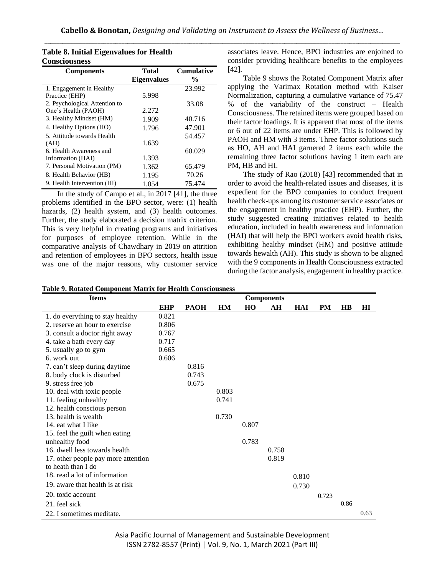| <b>Components</b>             | <b>Total</b>       | <b>Cumulative</b> |
|-------------------------------|--------------------|-------------------|
|                               | <b>Eigenvalues</b> | $\frac{0}{0}$     |
| 1. Engagement in Healthy      |                    | 23.992            |
| Practice (EHP)                | 5.998              |                   |
| 2. Psychological Attention to |                    | 33.08             |
| One's Health (PAOH)           | 2.272              |                   |
| 3. Healthy Mindset (HM)       | 1.909              | 40.716            |
| 4. Healthy Options (HO)       | 1.796              | 47.901            |
| 5. Attitude towards Health    |                    | 54.457            |
| (AH)                          | 1.639              |                   |
| 6. Health Awareness and       |                    | 60.029            |
| Information (HAI)             | 1.393              |                   |
| 7. Personal Motivation (PM)   | 1.362              | 65.479            |
| 8. Health Behavior (HB)       | 1.195              | 70.26             |
| 9. Health Intervention (HI)   | 1.054              | 75.474            |

**Table 8. Initial Eigenvalues for Health Consciousness**

In the study of Campo et al., in 2017 [41], the three problems identified in the BPO sector, were: (1) health hazards, (2) health system, and (3) health outcomes. Further, the study elaborated a decision matrix criterion. This is very helpful in creating programs and initiatives for purposes of employee retention. While in the comparative analysis of Chawdhary in 2019 on attrition and retention of employees in BPO sectors, health issue was one of the major reasons, why customer service associates leave. Hence, BPO industries are enjoined to consider providing healthcare benefits to the employees [42].

Table 9 shows the Rotated Component Matrix after applying the Varimax Rotation method with Kaiser Normalization, capturing a cumulative variance of 75.47 % of the variability of the construct – Health Consciousness. The retained items were grouped based on their factor loadings. It is apparent that most of the items or 6 out of 22 items are under EHP. This is followed by PAOH and HM with 3 items. Three factor solutions such as HO, AH and HAI garnered 2 items each while the remaining three factor solutions having 1 item each are PM, HB and HI.

The study of Rao (2018) [43] recommended that in order to avoid the health-related issues and diseases, it is expedient for the BPO companies to conduct frequent health check-ups among its customer service associates or the engagement in healthy practice (EHP). Further, the study suggested creating initiatives related to health education, included in health awareness and information (HAI) that will help the BPO workers avoid health risks, exhibiting healthy mindset (HM) and positive attitude towards hewalth (AH). This study is shown to be aligned with the 9 components in Health Consciousness extracted during the factor analysis, engagement in healthy practice.

|  |  |  |  |  |  | <b>Table 9. Rotated Component Matrix for Health Consciousness</b> |
|--|--|--|--|--|--|-------------------------------------------------------------------|
|--|--|--|--|--|--|-------------------------------------------------------------------|

| <b>Items</b>                        | <b>Components</b> |             |           |       |       |            |           |      |              |
|-------------------------------------|-------------------|-------------|-----------|-------|-------|------------|-----------|------|--------------|
|                                     | <b>EHP</b>        | <b>PAOH</b> | <b>HM</b> | HO    | AH    | <b>HAI</b> | <b>PM</b> | H B  | $\mathbf{H}$ |
| 1. do everything to stay healthy    | 0.821             |             |           |       |       |            |           |      |              |
| 2. reserve an hour to exercise      | 0.806             |             |           |       |       |            |           |      |              |
| 3. consult a doctor right away      | 0.767             |             |           |       |       |            |           |      |              |
| 4. take a bath every day            | 0.717             |             |           |       |       |            |           |      |              |
| 5. usually go to gym                | 0.665             |             |           |       |       |            |           |      |              |
| 6. work out                         | 0.606             |             |           |       |       |            |           |      |              |
| 7. can't sleep during daytime       |                   | 0.816       |           |       |       |            |           |      |              |
| 8. body clock is disturbed          |                   | 0.743       |           |       |       |            |           |      |              |
| 9. stress free job                  |                   | 0.675       |           |       |       |            |           |      |              |
| 10. deal with toxic people          |                   |             | 0.803     |       |       |            |           |      |              |
| 11. feeling unhealthy               |                   |             | 0.741     |       |       |            |           |      |              |
| 12. health conscious person         |                   |             |           |       |       |            |           |      |              |
| 13. health is wealth                |                   |             | 0.730     |       |       |            |           |      |              |
| 14. eat what I like                 |                   |             |           | 0.807 |       |            |           |      |              |
| 15. feel the guilt when eating      |                   |             |           |       |       |            |           |      |              |
| unhealthy food                      |                   |             |           | 0.783 |       |            |           |      |              |
| 16. dwell less towards health       |                   |             |           |       | 0.758 |            |           |      |              |
| 17. other people pay more attention |                   |             |           |       | 0.819 |            |           |      |              |
| to heath than I do                  |                   |             |           |       |       |            |           |      |              |
| 18. read a lot of information       |                   |             |           |       |       | 0.810      |           |      |              |
| 19. aware that health is at risk    |                   |             |           |       |       | 0.730      |           |      |              |
| 20. toxic account                   |                   |             |           |       |       |            | 0.723     |      |              |
| 21. feel sick                       |                   |             |           |       |       |            |           | 0.86 |              |
| 22. I sometimes meditate.           |                   |             |           |       |       |            |           |      | 0.63         |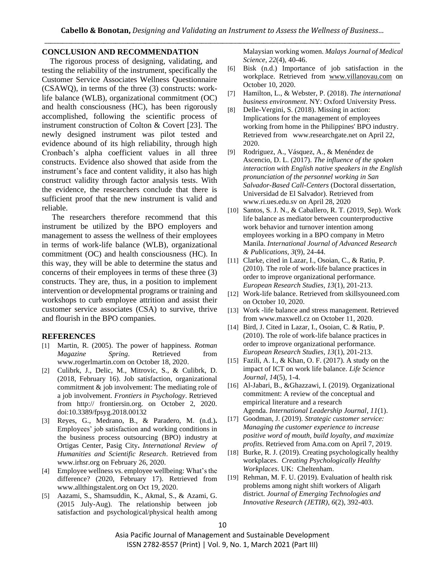# **CONCLUSION AND RECOMMENDATION**

 The rigorous process of designing, validating, and testing the reliability of the instrument, specifically the Customer Service Associates Wellness Questionnaire (CSAWQ), in terms of the three (3) constructs: worklife balance (WLB), organizational commitment (OC) and health consciousness (HC), has been rigorously accomplished, following the scientific process of instrument construction of Colton & Covert [23]. The newly designed instrument was pilot tested and evidence abound of its high reliability, through high Cronbach's alpha coefficient values in all three constructs. Evidence also showed that aside from the instrument's face and content validity, it also has high construct validity through factor analysis tests. With the evidence, the researchers conclude that there is sufficient proof that the new instrument is valid and reliable.

 The researchers therefore recommend that this instrument be utilized by the BPO employers and management to assess the wellness of their employees in terms of work-life balance (WLB), organizational commitment (OC) and health consciousness (HC). In this way, they will be able to determine the status and concerns of their employees in terms of these three (3) constructs. They are, thus, in a position to implement intervention or developmental programs or training and workshops to curb employee attrition and assist their customer service associates (CSA) to survive, thrive and flourish in the BPO companies.

### **REFERENCES**

- [1] Martin, R. (2005). The power of happiness. *Rotman Magazine Spring*. Retrieved from www.rogerlmartin.com on October 18, 2020.
- [2] Culibrk, J., Delic, M., Mitrovic, S., & Culibrk, D. (2018, February 16). Job satisfaction, organizational commitment & job involvement: The mediating role of a job involvement. *Frontiers in Psychology*. Retrieved from http:// frontiersin.org. on October 2, 2020. doi:10.3389/fpsyg.2018.00132
- [3] Reyes, G., Medrano, B., & Paradero, M. (n.d.)**.** Employees' job satisfaction and working conditions in the business process outsourcing (BPO) industry at Ortigas Center, Pasig City**.** *International Review of Humanities and Scientific Research*. Retrieved from [www.irhsr.org](http://www.irhsr.org/) on February 26, 2020.
- [4] Employee wellness vs. employee wellbeing: What's the difference? (2020, February 17). Retrieved from www.allthingstalent.org on Oct 19, 2020.
- [5] Aazami, S., Shamsuddin, K., Akmal, S., & Azami, G. (2015 July-Aug). The relationship between job satisfaction and psychological/physical health among

Malaysian working women. *Malays Journal of Medical Science, 22*(4), 40-46.

- [6] Bisk (n.d.) Importance of job satisfaction in the workplace. Retrieved from [www.villanovau.com](http://www.villanovau.com/) on October 10, 2020.
- [7] Hamilton, L., & Webster, P. (2018). *The international business environment*. NY: Oxford University Press.
- [8] Delle-Vergini, S. (2018). Missing in action: Implications for the management of employees working from home in the Philippines' BPO industry. Retrieved from www.researchgate.net on April 22, 2020.
- [9] Rodriguez, A., Vásquez, A., & Menéndez de Ascencio, D. L. (2017). *The influence of the spoken interaction with English native speakers in the English pronunciation of the personnel working in San Salvador-Based Call-Centers* (Doctoral dissertation, Universidad de El Salvador). Retrieved from [www.ri.ues.edu.sv](http://www.ri.ues.edu.sv/) on April 28, 2020
- [10] Santos, S. J. N., & Caballero, R. T. (2019, Sep). Work life balance as mediator between counterproductive work behavior and turnover intention among employees working in a BPO company in Metro Manila. *International Journal of Advanced Research & Publications, 3*(9), 24-44.
- [11] Clarke, cited in Lazar, I., Osoian, C., & Ratiu, P. (2010). The role of work-life balance practices in order to improve organizational performance*. European Research Studies, 13*(1), 201-213.
- [12] Work-life balance. Retrieved from skillsyouneed.com on October 10, 2020.
- [13] Work -life balance and stress management. Retrieved from www.maxwell.cz on October 11, 2020.
- [14] Bird, J. Cited in Lazar, I., Osoian, C. & Ratiu, P. (2010). The role of work-life balance practices in order to improve organizational performance*. European Research Studies, 13*(1), 201-213.
- [15] Fazili, A. I., & Khan, O. F. (2017). A study on the impact of ICT on work life balance. *Life Science Journal*, *14*(5), 1-4.
- [16] Al-Jabari, B., &Ghazzawi, I. (2019). Organizational commitment: A review of the conceptual and empirical literature and a research Agenda. *International Leadership Journal*, *11*(1).
- [17] Goodman, J. (2019). *Strategic customer service: Managing the customer experience to increase positive word of mouth, build loyalty, and maximize profits*. Retrieved from Ama.com on April 7, 2019.
- [18] Burke, R. J. (2019). Creating psychologically healthy workplaces. *Creating Psychologically Healthy Workplaces*. UK: Cheltenham.
- [19] Rehman, M. F. U. (2019). Evaluation of health risk problems among night shift workers of Aligarh district. *Journal of Emerging Technologies and Innovative Research (JETIR)*, *6*(2), 392-403.